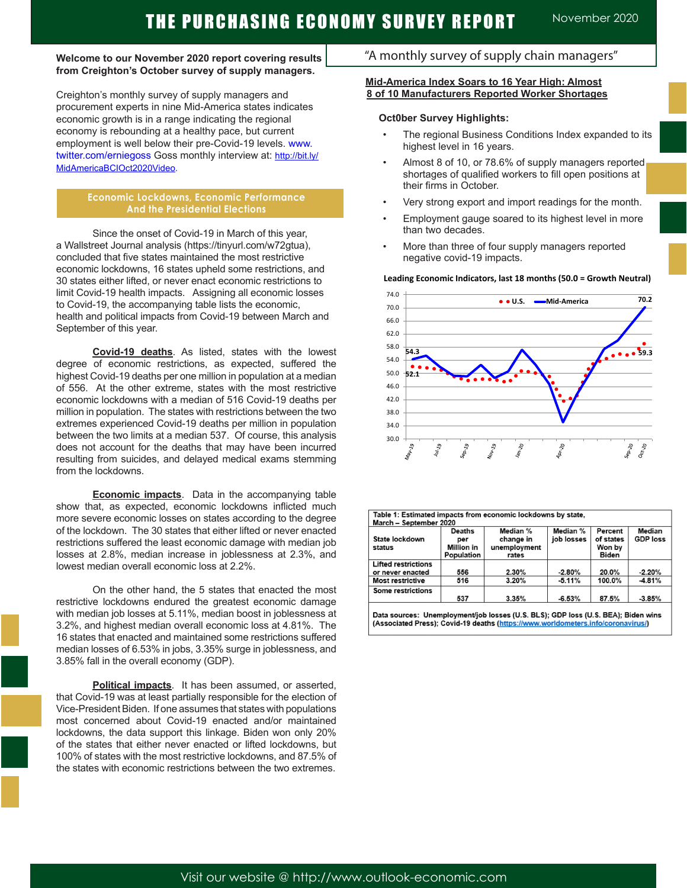#### **Welcome to our November 2020 report covering results from Creighton's October survey of supply managers.**

Creighton's monthly survey of supply managers and procurement experts in nine Mid-America states indicates economic growth is in a range indicating the regional economy is rebounding at a healthy pace, but current employment is well below their pre-Covid-19 levels. www. twitter.com/erniegoss Goss monthly interview at: http://bit.ly/ MidAmericaBCIOct2020Video.

#### **Economic Lockdowns, Economic Performance And the Presidential Elections**

Since the onset of Covid-19 in March of this year, a Wallstreet Journal analysis (https://tinyurl.com/w72gtua), concluded that five states maintained the most restrictive economic lockdowns, 16 states upheld some restrictions, and 30 states either lifted, or never enact economic restrictions to limit Covid-19 health impacts. Assigning all economic losses to Covid-19, the accompanying table lists the economic, health and political impacts from Covid-19 between March and September of this year.

**Covid-19 deaths**. As listed, states with the lowest degree of economic restrictions, as expected, suffered the highest Covid-19 deaths per one million in population at a median of 556. At the other extreme, states with the most restrictive economic lockdowns with a median of 516 Covid-19 deaths per million in population. The states with restrictions between the two extremes experienced Covid-19 deaths per million in population between the two limits at a median 537. Of course, this analysis does not account for the deaths that may have been incurred resulting from suicides, and delayed medical exams stemming from the lockdowns.

**Economic impacts**. Data in the accompanying table show that, as expected, economic lockdowns inflicted much more severe economic losses on states according to the degree of the lockdown. The 30 states that either lifted or never enacted restrictions suffered the least economic damage with median job losses at 2.8%, median increase in joblessness at 2.3%, and lowest median overall economic loss at 2.2%.

On the other hand, the 5 states that enacted the most restrictive lockdowns endured the greatest economic damage with median job losses at 5.11%, median boost in joblessness at 3.2%, and highest median overall economic loss at 4.81%. The 16 states that enacted and maintained some restrictions suffered median losses of 6.53% in jobs, 3.35% surge in joblessness, and 3.85% fall in the overall economy (GDP).

**Political impacts**. It has been assumed, or asserted, that Covid-19 was at least partially responsible for the election of Vice-President Biden. If one assumes that states with populations most concerned about Covid-19 enacted and/or maintained lockdowns, the data support this linkage. Biden won only 20% of the states that either never enacted or lifted lockdowns, but 100% of states with the most restrictive lockdowns, and 87.5% of the states with economic restrictions between the two extremes.

# "A monthly survey of supply chain managers"

#### **Mid-America Index Soars to 16 Year High: Almost 8 of 10 Manufacturers Reported Worker Shortages**

#### **Oct0ber Survey Highlights:**

- The regional Business Conditions Index expanded to its highest level in 16 years.
- Almost 8 of 10, or 78.6% of supply managers reported shortages of qualified workers to fill open positions at their firms in October.
- Very strong export and import readings for the month.
- Employment gauge soared to its highest level in more than two decades.
- More than three of four supply managers reported negative covid-19 impacts.



| March - September 2020     |                                                         |                                                |                        |                                                |                           |
|----------------------------|---------------------------------------------------------|------------------------------------------------|------------------------|------------------------------------------------|---------------------------|
| State lockdown<br>status   | <b>Deaths</b><br>per<br><b>Million in</b><br>Population | Median %<br>change in<br>unemployment<br>rates | Median %<br>job losses | Percent<br>of states<br>Won by<br><b>Biden</b> | Median<br><b>GDP loss</b> |
| <b>Lifted restrictions</b> |                                                         |                                                |                        |                                                |                           |
| or never enacted           | 556                                                     | 2.30%                                          | $-2.80%$               | 20.0%                                          | $-2.20%$                  |
| <b>Most restrictive</b>    | 516                                                     | 3.20%                                          | $-5.11%$               | 100.0%                                         | $-4.81%$                  |
| Some restrictions          |                                                         |                                                |                        |                                                |                           |
|                            | 537                                                     | 3.35%                                          | $-6.53%$               | 87.5%                                          | $-3.85%$                  |

Data sources: Unemployment/job losses (U.S. BLS); GDP loss (U.S. BEA); Biden wins (Associated Press); Covid-19 deaths (https://www.worldometers.info/coronavirus/)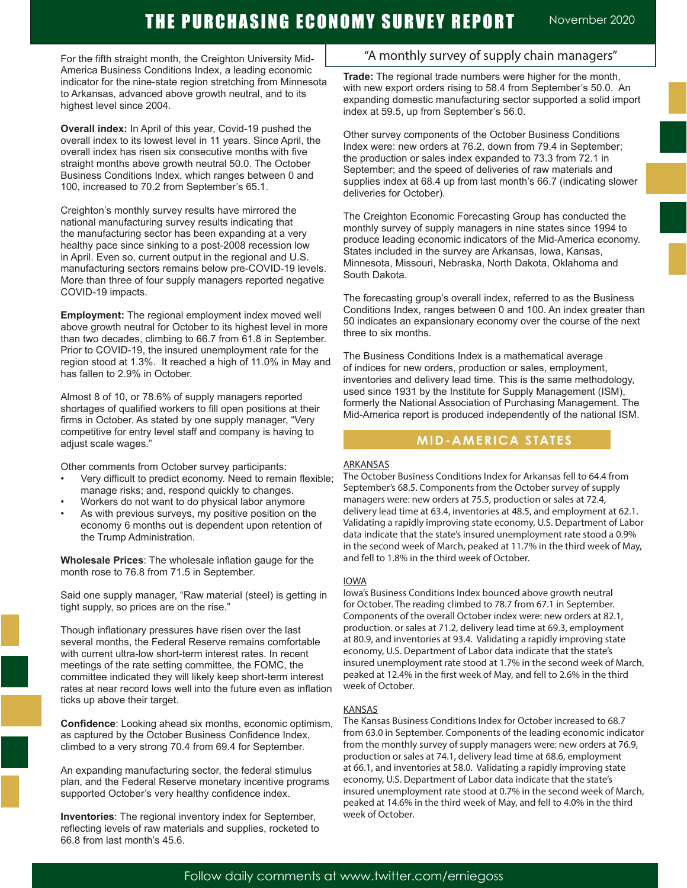# THE PURCHASING ECONOMY SURVEY REPORT November 2020

For the fifth straight month, the Creighton University Mid-America Business Conditions Index, a leading economic indicator for the nine-state region stretching from Minnesota to Arkansas, advanced above growth neutral, and to its highest level since 2004.

**Overall index:** In April of this year, Covid-19 pushed the overall index to its lowest level in 11 years. Since April, the overall index has risen six consecutive months with five straight months above growth neutral 50.0. The October Business Conditions Index, which ranges between 0 and 100, increased to 70.2 from September's 65.1.

Creighton's monthly survey results have mirrored the national manufacturing survey results indicating that the manufacturing sector has been expanding at a very healthy pace since sinking to a post-2008 recession low in April. Even so, current output in the regional and U.S. manufacturing sectors remains below pre-COVID-19 levels. More than three of four supply managers reported negative COVID-19 impacts.

**Employment:** The regional employment index moved well above growth neutral for October to its highest level in more than two decades, climbing to 66.7 from 61.8 in September. Prior to COVID-19, the insured unemployment rate for the region stood at 1.3%. It reached a high of 11.0% in May and has fallen to 2.9% in October.

Almost 8 of 10, or 78.6% of supply managers reported shortages of qualified workers to fill open positions at their firms in October. As stated by one supply manager, "Very competitive for entry level staff and company is having to adjust scale wages."

Other comments from October survey participants:

- Very difficult to predict economy. Need to remain flexible; manage risks; and, respond quickly to changes.
- Workers do not want to do physical labor anymore
- As with previous surveys, my positive position on the economy 6 months out is dependent upon retention of the Trump Administration.

**Wholesale Prices**: The wholesale inflation gauge for the month rose to 76.8 from 71.5 in September.

Said one supply manager, "Raw material (steel) is getting in tight supply, so prices are on the rise."

Though inflationary pressures have risen over the last several months, the Federal Reserve remains comfortable with current ultra-low short-term interest rates. In recent meetings of the rate setting committee, the FOMC, the committee indicated they will likely keep short-term interest rates at near record lows well into the future even as inflation ticks up above their target.

**Confidence**: Looking ahead six months, economic optimism, as captured by the October Business Confidence Index, climbed to a very strong 70.4 from 69.4 for September.

An expanding manufacturing sector, the federal stimulus plan, and the Federal Reserve monetary incentive programs supported October's very healthy confidence index.

**Inventories**: The regional inventory index for September, reflecting levels of raw materials and supplies, rocketed to 66.8 from last month's 45.6.

# "A monthly survey of supply chain managers"

**Trade:** The regional trade numbers were higher for the month, with new export orders rising to 58.4 from September's 50.0. An expanding domestic manufacturing sector supported a solid import index at 59.5, up from September's 56.0.

Other survey components of the October Business Conditions Index were: new orders at 76.2, down from 79.4 in September; the production or sales index expanded to 73.3 from 72.1 in September; and the speed of deliveries of raw materials and supplies index at 68.4 up from last month's 66.7 (indicating slower deliveries for October).

The Creighton Economic Forecasting Group has conducted the monthly survey of supply managers in nine states since 1994 to produce leading economic indicators of the Mid-America economy. States included in the survey are Arkansas, Iowa, Kansas, Minnesota, Missouri, Nebraska, North Dakota, Oklahoma and South Dakota.

The forecasting group's overall index, referred to as the Business Conditions Index, ranges between 0 and 100. An index greater than 50 indicates an expansionary economy over the course of the next three to six months.

The Business Conditions Index is a mathematical average of indices for new orders, production or sales, employment, inventories and delivery lead time. This is the same methodology, used since 1931 by the Institute for Supply Management (ISM), formerly the National Association of Purchasing Management. The Mid-America report is produced independently of the national ISM.

### **MID-AMERICA STATES**

#### ARKANSAS

The October Business Conditions Index for Arkansas fell to 64.4 from September's 68.5. Components from the October survey of supply managers were: new orders at 75.5, production or sales at 72.4, delivery lead time at 63.4, inventories at 48.5, and employment at 62.1. Validating a rapidly improving state economy, U.S. Department of Labor data indicate that the state's insured unemployment rate stood a 0.9% in the second week of March, peaked at 11.7% in the third week of May, and fell to 1.8% in the third week of October.

#### IOWA

Iowa's Business Conditions Index bounced above growth neutral for October. The reading climbed to 78.7 from 67.1 in September. Components of the overall October index were: new orders at 82.1, production. or sales at 71.2, delivery lead time at 69.3, employment at 80.9, and inventories at 93.4. Validating a rapidly improving state economy, U.S. Department of Labor data indicate that the state's insured unemployment rate stood at 1.7% in the second week of March, peaked at 12.4% in the first week of May, and fell to 2.6% in the third week of October.

#### **KANSAS**

The Kansas Business Conditions Index for October increased to 68.7 from 63.0 in September. Components of the leading economic indicator from the monthly survey of supply managers were: new orders at 76.9, production or sales at 74.1, delivery lead time at 68.6, employment at 66.1, and inventories at 58.0. Validating a rapidly improving state economy, U.S. Department of Labor data indicate that the state's insured unemployment rate stood at 0.7% in the second week of March, peaked at 14.6% in the third week of May, and fell to 4.0% in the third week of October.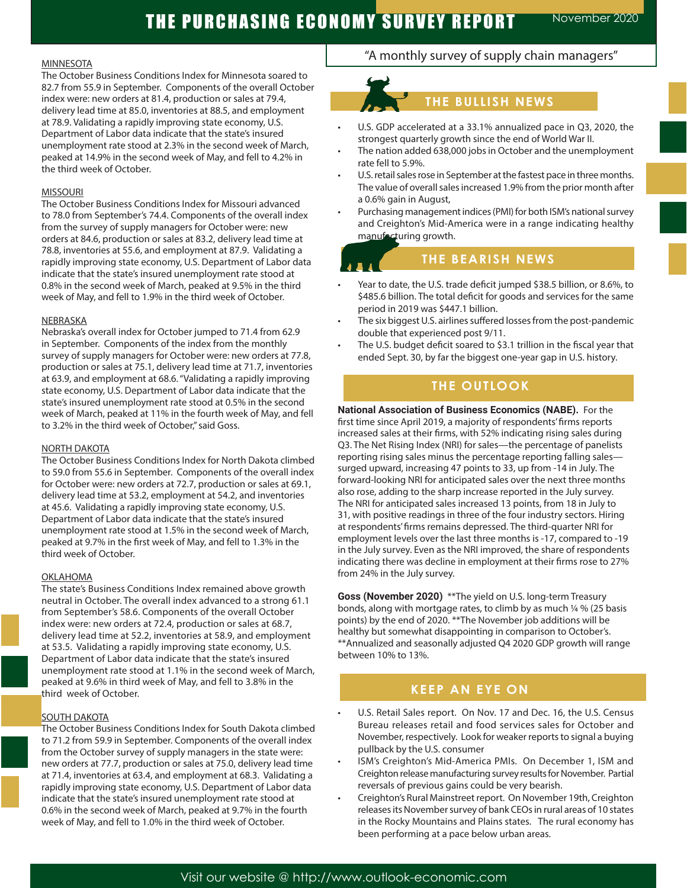#### MINNESOTA

The October Business Conditions Index for Minnesota soared to 82.7 from 55.9 in September. Components of the overall October index were: new orders at 81.4, production or sales at 79.4, delivery lead time at 85.0, inventories at 88.5, and employment at 78.9. Validating a rapidly improving state economy, U.S. Department of Labor data indicate that the state's insured unemployment rate stood at 2.3% in the second week of March, peaked at 14.9% in the second week of May, and fell to 4.2% in the third week of October.

#### **MISSOURI**

The October Business Conditions Index for Missouri advanced to 78.0 from September's 74.4. Components of the overall index from the survey of supply managers for October were: new orders at 84.6, production or sales at 83.2, delivery lead time at 78.8, inventories at 55.6, and employment at 87.9. Validating a rapidly improving state economy, U.S. Department of Labor data indicate that the state's insured unemployment rate stood at 0.8% in the second week of March, peaked at 9.5% in the third week of May, and fell to 1.9% in the third week of October.

#### NEBRASKA

Nebraska's overall index for October jumped to 71.4 from 62.9 in September. Components of the index from the monthly survey of supply managers for October were: new orders at 77.8, production or sales at 75.1, delivery lead time at 71.7, inventories at 63.9, and employment at 68.6. "Validating a rapidly improving state economy, U.S. Department of Labor data indicate that the state's insured unemployment rate stood at 0.5% in the second week of March, peaked at 11% in the fourth week of May, and fell to 3.2% in the third week of October," said Goss.

#### NORTH DAKOTA

The October Business Conditions Index for North Dakota climbed to 59.0 from 55.6 in September. Components of the overall index for October were: new orders at 72.7, production or sales at 69.1, delivery lead time at 53.2, employment at 54.2, and inventories at 45.6. Validating a rapidly improving state economy, U.S. Department of Labor data indicate that the state's insured unemployment rate stood at 1.5% in the second week of March, peaked at 9.7% in the first week of May, and fell to 1.3% in the third week of October.

#### OKLAHOMA

The state's Business Conditions Index remained above growth neutral in October. The overall index advanced to a strong 61.1 from September's 58.6. Components of the overall October index were: new orders at 72.4, production or sales at 68.7, delivery lead time at 52.2, inventories at 58.9, and employment at 53.5. Validating a rapidly improving state economy, U.S. Department of Labor data indicate that the state's insured unemployment rate stood at 1.1% in the second week of March, peaked at 9.6% in third week of May, and fell to 3.8% in the third week of October.

#### SOUTH DAKOTA

The October Business Conditions Index for South Dakota climbed to 71.2 from 59.9 in September. Components of the overall index from the October survey of supply managers in the state were: new orders at 77.7, production or sales at 75.0, delivery lead time at 71.4, inventories at 63.4, and employment at 68.3. Validating a rapidly improving state economy, U.S. Department of Labor data indicate that the state's insured unemployment rate stood at 0.6% in the second week of March, peaked at 9.7% in the fourth week of May, and fell to 1.0% in the third week of October.

# "A monthly survey of supply chain managers"



- U.S. GDP accelerated at a 33.1% annualized pace in Q3, 2020, the strongest quarterly growth since the end of World War II.
- The nation added 638,000 jobs in October and the unemployment rate fell to 5.9%.
- U.S. retail sales rose in September at the fastest pace in three months. The value of overall sales increased 1.9% from the prior month after a 0.6% gain in August,
- Purchasing management indices (PMI) for both ISM's national survey and Creighton's Mid-America were in a range indicating healthy manufacturing growth.

# **THE BEARISH NEWS**

- Year to date, the U.S. trade deficit jumped \$38.5 billion, or 8.6%, to \$485.6 billion. The total deficit for goods and services for the same period in 2019 was \$447.1 billion.
- The six biggest U.S. airlines suffered losses from the post-pandemic double that experienced post 9/11.
- The U.S. budget deficit soared to \$3.1 trillion in the fiscal year that ended Sept. 30, by far the biggest one-year gap in U.S. history.

# **THE OUTLOOK**

**National Association of Business Economics (NABE).** For the first time since April 2019, a majority of respondents' firms reports increased sales at their firms, with 52% indicating rising sales during Q3. The Net Rising Index (NRI) for sales—the percentage of panelists reporting rising sales minus the percentage reporting falling sales surged upward, increasing 47 points to 33, up from -14 in July. The forward-looking NRI for anticipated sales over the next three months also rose, adding to the sharp increase reported in the July survey. The NRI for anticipated sales increased 13 points, from 18 in July to 31, with positive readings in three of the four industry sectors. Hiring at respondents' firms remains depressed. The third-quarter NRI for employment levels over the last three months is -17, compared to -19 in the July survey. Even as the NRI improved, the share of respondents indicating there was decline in employment at their firms rose to 27% from 24% in the July survey.

**Goss (November 2020)** \*\*The yield on U.S. long-term Treasury bonds, along with mortgage rates, to climb by as much ¼ % (25 basis points) by the end of 2020. \*\*The November job additions will be healthy but somewhat disappointing in comparison to October's. \*\*Annualized and seasonally adjusted Q4 2020 GDP growth will range between 10% to 13%.

# **T TO WATCH KEEP AN EYE ON**

- U.S. Retail Sales report. On Nov. 17 and Dec. 16, the U.S. Census Bureau releases retail and food services sales for October and November, respectively. Look for weaker reports to signal a buying pullback by the U.S. consumer
- ISM's Creighton's Mid-America PMIs. On December 1, ISM and Creighton release manufacturing survey results for November. Partial reversals of previous gains could be very bearish.
- Creighton's Rural Mainstreet report. On November 19th, Creighton releases its November survey of bank CEOs in rural areas of 10 states in the Rocky Mountains and Plains states. The rural economy has been performing at a pace below urban areas.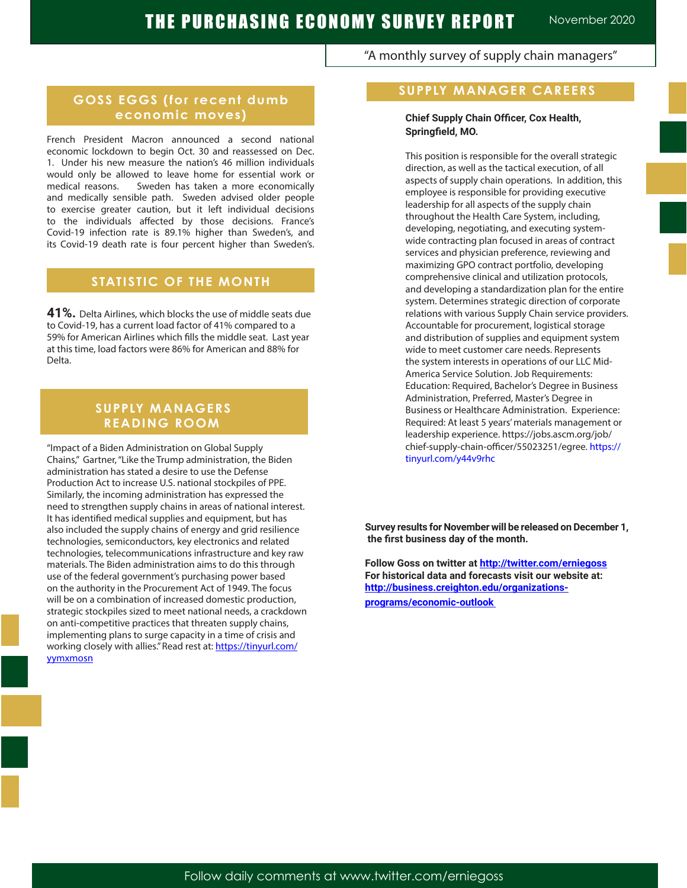### "A monthly survey of supply chain managers"

# **GOSS EGGS (for recent dumb economic moves)**

French President Macron announced a second national economic lockdown to begin Oct. 30 and reassessed on Dec. 1. Under his new measure the nation's 46 million individuals would only be allowed to leave home for essential work or medical reasons. Sweden has taken a more economically and medically sensible path. Sweden advised older people to exercise greater caution, but it left individual decisions to the individuals affected by those decisions. France's Covid-19 infection rate is 89.1% higher than Sweden's, and its Covid-19 death rate is four percent higher than Sweden's.

# **STATISTIC OF THE MONTH**

**41%.** Delta Airlines, which blocks the use of middle seats due to Covid-19, has a current load factor of 41% compared to a 59% for American Airlines which fills the middle seat. Last year at this time, load factors were 86% for American and 88% for Delta.

# **SUPPLY MANAGERS READING ROOM**

"Impact of a Biden Administration on Global Supply Chains," Gartner, "Like the Trump administration, the Biden administration has stated a desire to use the Defense Production Act to increase U.S. national stockpiles of PPE. Similarly, the incoming administration has expressed the need to strengthen supply chains in areas of national interest. It has identified medical supplies and equipment, but has also included the supply chains of energy and grid resilience technologies, semiconductors, key electronics and related technologies, telecommunications infrastructure and key raw materials. The Biden administration aims to do this through use of the federal government's purchasing power based on the authority in the Procurement Act of 1949. The focus will be on a combination of increased domestic production, strategic stockpiles sized to meet national needs, a crackdown on anti-competitive practices that threaten supply chains, implementing plans to surge capacity in a time of crisis and working closely with allies." Read rest at: https://tinyurl.com/ yymxmosn

### **SUPPLY MANAGER CAREERS**

#### **Chief Supply Chain Officer, Cox Health, Springfield, MO.**

This position is responsible for the overall strategic direction, as well as the tactical execution, of all aspects of supply chain operations. In addition, this employee is responsible for providing executive leadership for all aspects of the supply chain throughout the Health Care System, including, developing, negotiating, and executing systemwide contracting plan focused in areas of contract services and physician preference, reviewing and maximizing GPO contract portfolio, developing comprehensive clinical and utilization protocols, and developing a standardization plan for the entire system. Determines strategic direction of corporate relations with various Supply Chain service providers. Accountable for procurement, logistical storage and distribution of supplies and equipment system wide to meet customer care needs. Represents the system interests in operations of our LLC Mid-America Service Solution. Job Requirements: Education: Required, Bachelor's Degree in Business Administration, Preferred, Master's Degree in Business or Healthcare Administration. Experience: Required: At least 5 years' materials management or leadership experience. https://jobs.ascm.org/job/ chief-supply-chain-officer/55023251/egree. https:// tinyurl.com/y44v9rhc

**Survey results for November will be released on December 1, the first business day of the month.**

**Follow Goss on twitter at http://twitter.com/erniegoss For historical data and forecasts visit our website at: http://business.creighton.edu/organizationsprograms/economic-outlook**